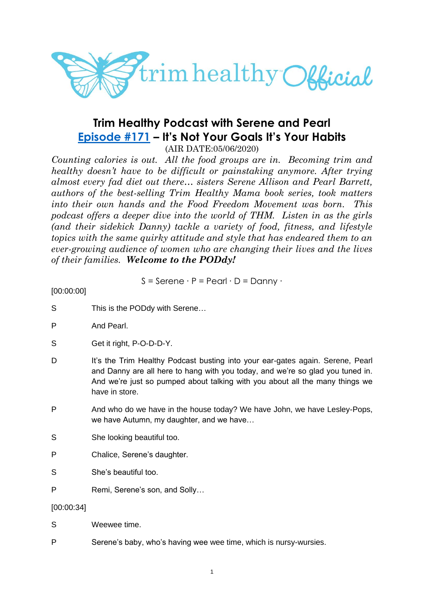

# **Trim Healthy Podcast with Serene and Pearl [Episode #171](https://cms.megaphone.fm/channel/trimhealthypodcast?selected=ADL9509174356) – It's Not Your Goals It's Your Habits**

(AIR DATE:05/06/2020)

*Counting calories is out. All the food groups are in. Becoming trim and healthy doesn't have to be difficult or painstaking anymore. After trying almost every fad diet out there… sisters Serene Allison and Pearl Barrett, authors of the best-selling Trim Healthy Mama book series, took matters into their own hands and the Food Freedom Movement was born. This podcast offers a deeper dive into the world of THM. Listen in as the girls (and their sidekick Danny) tackle a variety of food, fitness, and lifestyle topics with the same quirky attitude and style that has endeared them to an ever-growing audience of women who are changing their lives and the lives of their families. Welcome to the PODdy!*

$$
S =
$$
Serene · P = Pearl · D = Danny ·

[00:00:00]

- S This is the PODdy with Serene...
- P And Pearl.
- S Get it right, P-O-D-D-Y.
- D It's the Trim Healthy Podcast busting into your ear-gates again. Serene, Pearl and Danny are all here to hang with you today, and we're so glad you tuned in. And we're just so pumped about talking with you about all the many things we have in store.
- P And who do we have in the house today? We have John, we have Lesley-Pops, we have Autumn, my daughter, and we have…
- S She looking beautiful too.

P Chalice, Serene's daughter.

- S She's beautiful too.
- P Remi, Serene's son, and Solly…

#### [00:00:34]

- S Weewee time.
- P Serene's baby, who's having wee wee time, which is nursy-wursies.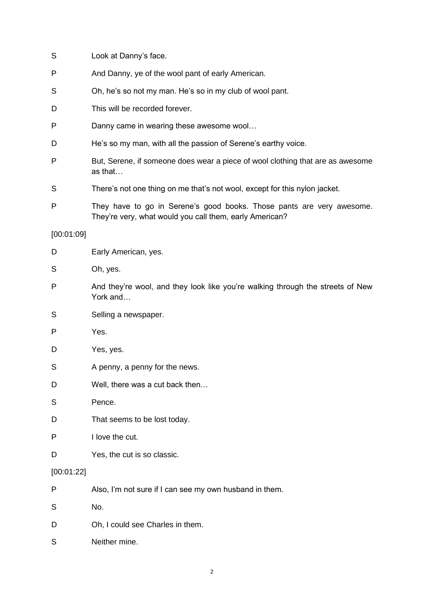| S          | Look at Danny's face.                                                                                                            |  |
|------------|----------------------------------------------------------------------------------------------------------------------------------|--|
| P          | And Danny, ye of the wool pant of early American.                                                                                |  |
| S          | Oh, he's so not my man. He's so in my club of wool pant.                                                                         |  |
| D          | This will be recorded forever.                                                                                                   |  |
| P          | Danny came in wearing these awesome wool                                                                                         |  |
| D          | He's so my man, with all the passion of Serene's earthy voice.                                                                   |  |
| P          | But, Serene, if someone does wear a piece of wool clothing that are as awesome<br>as that                                        |  |
| S          | There's not one thing on me that's not wool, except for this nylon jacket.                                                       |  |
| P          | They have to go in Serene's good books. Those pants are very awesome.<br>They're very, what would you call them, early American? |  |
| [00:01:09] |                                                                                                                                  |  |
| D          | Early American, yes.                                                                                                             |  |
| S          | Oh, yes.                                                                                                                         |  |
| P          | And they're wool, and they look like you're walking through the streets of New<br>York and                                       |  |
| S          | Selling a newspaper.                                                                                                             |  |
| P          | Yes.                                                                                                                             |  |
| D          | Yes, yes.                                                                                                                        |  |
| S          | A penny, a penny for the news.                                                                                                   |  |
| D          | Well, there was a cut back then                                                                                                  |  |
| S          | Pence.                                                                                                                           |  |
| D          | That seems to be lost today.                                                                                                     |  |
| P          | I love the cut.                                                                                                                  |  |
| D          | Yes, the cut is so classic.                                                                                                      |  |
| [00:01:22] |                                                                                                                                  |  |
| P          | Also, I'm not sure if I can see my own husband in them.                                                                          |  |
| S          | No.                                                                                                                              |  |
| D          | Oh, I could see Charles in them.                                                                                                 |  |
| S          | Neither mine.                                                                                                                    |  |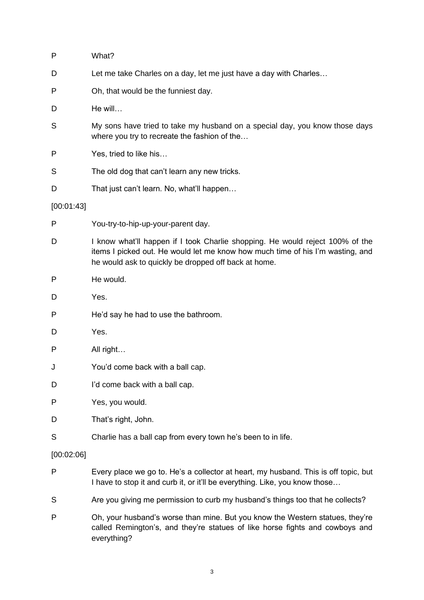| P          | What?                                                                                                                                                                                                                   |  |
|------------|-------------------------------------------------------------------------------------------------------------------------------------------------------------------------------------------------------------------------|--|
| D          | Let me take Charles on a day, let me just have a day with Charles                                                                                                                                                       |  |
| P          | Oh, that would be the funniest day.                                                                                                                                                                                     |  |
| D          | He will                                                                                                                                                                                                                 |  |
| S          | My sons have tried to take my husband on a special day, you know those days<br>where you try to recreate the fashion of the                                                                                             |  |
| P          | Yes, tried to like his                                                                                                                                                                                                  |  |
| S          | The old dog that can't learn any new tricks.                                                                                                                                                                            |  |
| D          | That just can't learn. No, what'll happen                                                                                                                                                                               |  |
| [00:01:43] |                                                                                                                                                                                                                         |  |
| P          | You-try-to-hip-up-your-parent day.                                                                                                                                                                                      |  |
| D          | I know what'll happen if I took Charlie shopping. He would reject 100% of the<br>items I picked out. He would let me know how much time of his I'm wasting, and<br>he would ask to quickly be dropped off back at home. |  |
| P          | He would.                                                                                                                                                                                                               |  |
| D          | Yes.                                                                                                                                                                                                                    |  |
| P          | He'd say he had to use the bathroom.                                                                                                                                                                                    |  |
| D          | Yes.                                                                                                                                                                                                                    |  |
| P          | All right                                                                                                                                                                                                               |  |
| J          | You'd come back with a ball cap.                                                                                                                                                                                        |  |
| D          | I'd come back with a ball cap.                                                                                                                                                                                          |  |
| P          | Yes, you would.                                                                                                                                                                                                         |  |
| D          | That's right, John.                                                                                                                                                                                                     |  |
| S          | Charlie has a ball cap from every town he's been to in life.                                                                                                                                                            |  |
| [00:02:06] |                                                                                                                                                                                                                         |  |
| P          | Every place we go to. He's a collector at heart, my husband. This is off topic, but<br>I have to stop it and curb it, or it'll be everything. Like, you know those                                                      |  |
| S          | Are you giving me permission to curb my husband's things too that he collects?                                                                                                                                          |  |
| P          | Oh, your husband's worse than mine. But you know the Western statues, they're<br>called Remington's, and they're statues of like horse fights and cowboys and<br>everything?                                            |  |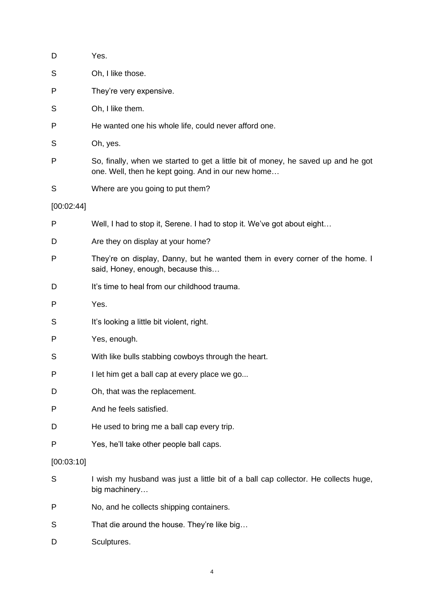| D          | Yes.                                                                                                                                    |  |
|------------|-----------------------------------------------------------------------------------------------------------------------------------------|--|
| S          | Oh, I like those.                                                                                                                       |  |
| P          | They're very expensive.                                                                                                                 |  |
| S          | Oh, I like them.                                                                                                                        |  |
| P          | He wanted one his whole life, could never afford one.                                                                                   |  |
| S          | Oh, yes.                                                                                                                                |  |
| P          | So, finally, when we started to get a little bit of money, he saved up and he got<br>one. Well, then he kept going. And in our new home |  |
| S          | Where are you going to put them?                                                                                                        |  |
| [00:02:44] |                                                                                                                                         |  |
| P          | Well, I had to stop it, Serene. I had to stop it. We've got about eight                                                                 |  |
| D          | Are they on display at your home?                                                                                                       |  |
| P          | They're on display, Danny, but he wanted them in every corner of the home. I<br>said, Honey, enough, because this                       |  |
| D          | It's time to heal from our childhood trauma.                                                                                            |  |
| P          | Yes.                                                                                                                                    |  |
| S          | It's looking a little bit violent, right.                                                                                               |  |
| P          | Yes, enough.                                                                                                                            |  |
| S          | With like bulls stabbing cowboys through the heart.                                                                                     |  |
|            | I let him get a ball cap at every place we go                                                                                           |  |
| D          | Oh, that was the replacement.                                                                                                           |  |
| P          | And he feels satisfied.                                                                                                                 |  |
| D          | He used to bring me a ball cap every trip.                                                                                              |  |
| P          | Yes, he'll take other people ball caps.                                                                                                 |  |
| [00:03:10] |                                                                                                                                         |  |
| S          | I wish my husband was just a little bit of a ball cap collector. He collects huge,<br>big machinery                                     |  |
| P          | No, and he collects shipping containers.                                                                                                |  |
| S          | That die around the house. They're like big                                                                                             |  |
| D          | Sculptures.                                                                                                                             |  |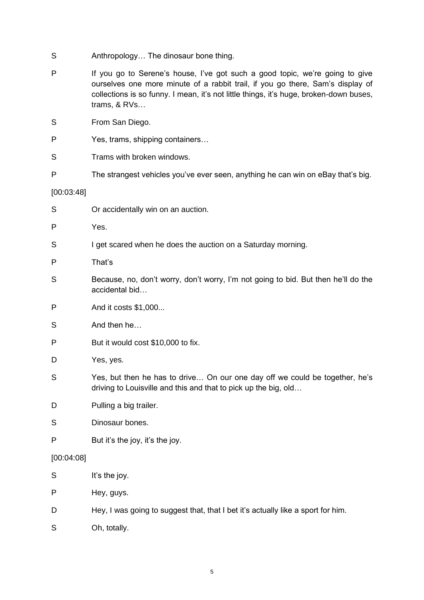- S Anthropology... The dinosaur bone thing.
- P If you go to Serene's house, I've got such a good topic, we're going to give ourselves one more minute of a rabbit trail, if you go there, Sam's display of collections is so funny. I mean, it's not little things, it's huge, broken-down buses, trams, & RVs…
- S From San Diego.
- P Yes, trams, shipping containers…
- S Trams with broken windows.
- P The strangest vehicles you've ever seen, anything he can win on eBay that's big.

### [00:03:48]

- S **S** Or accidentally win on an auction.
- P Yes.
- S I get scared when he does the auction on a Saturday morning.
- P That's
- S Because, no, don't worry, don't worry, I'm not going to bid. But then he'll do the accidental bid…
- P And it costs \$1,000...
- S And then he
- P But it would cost \$10,000 to fix.
- D Yes, yes.
- S Yes, but then he has to drive… On our one day off we could be together, he's driving to Louisville and this and that to pick up the big, old…
- D Pulling a big trailer.
- S Dinosaur bones.
- P But it's the joy, it's the joy.

#### [00:04:08]

- S It's the joy. P Hey, guys. D Hey, I was going to suggest that, that I bet it's actually like a sport for him.
- S Oh, totally.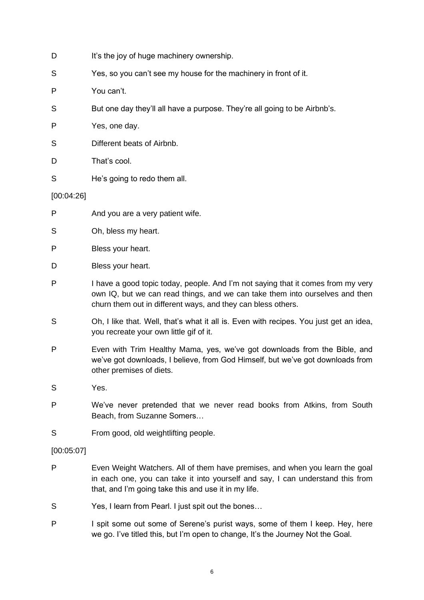- D It's the joy of huge machinery ownership.
- S Yes, so you can't see my house for the machinery in front of it.
- P You can't.
- S But one day they'll all have a purpose. They're all going to be Airbnb's.
- P Yes, one day.
- S Different beats of Airbnb.
- D That's cool.
- S He's going to redo them all.

#### [00:04:26]

- P And you are a very patient wife.
- S Oh, bless my heart.
- P Bless your heart.
- D Bless your heart.
- P I have a good topic today, people. And I'm not saying that it comes from my very own IQ, but we can read things, and we can take them into ourselves and then churn them out in different ways, and they can bless others.
- S Oh, I like that. Well, that's what it all is. Even with recipes. You just get an idea, you recreate your own little gif of it.
- P Even with Trim Healthy Mama, yes, we've got downloads from the Bible, and we've got downloads, I believe, from God Himself, but we've got downloads from other premises of diets.
- S Yes.
- P We've never pretended that we never read books from Atkins, from South Beach, from Suzanne Somers…
- S From good, old weightlifting people.

#### [00:05:07]

- P Even Weight Watchers. All of them have premises, and when you learn the goal in each one, you can take it into yourself and say, I can understand this from that, and I'm going take this and use it in my life.
- S Yes, I learn from Pearl. I just spit out the bones…
- P I spit some out some of Serene's purist ways, some of them I keep. Hey, here we go. I've titled this, but I'm open to change, It's the Journey Not the Goal.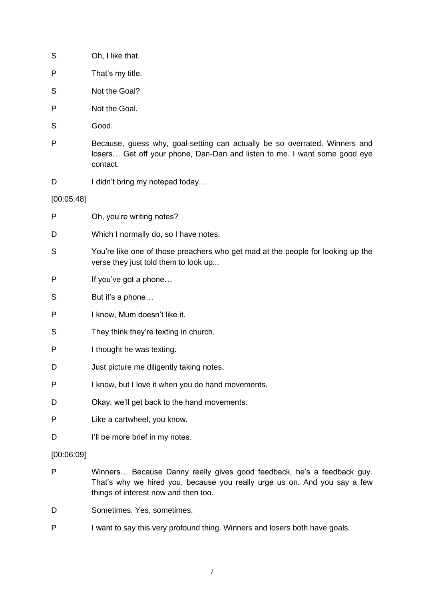- S Oh, I like that.
- P That's my title.
- S Not the Goal?
- P Not the Goal.
- S<sub>Good.</sub>
- P Because, guess why, goal-setting can actually be so overrated. Winners and losers… Get off your phone, Dan-Dan and listen to me. I want some good eye contact.
- D I didn't bring my notepad today...

[00:05:48]

| P          | Oh, you're writing notes?                                                                                               |
|------------|-------------------------------------------------------------------------------------------------------------------------|
| D          | Which I normally do, so I have notes.                                                                                   |
| S          | You're like one of those preachers who get mad at the people for looking up the<br>verse they just told them to look up |
| P          | If you've got a phone                                                                                                   |
| S          | But it's a phone                                                                                                        |
| P          | I know, Mum doesn't like it.                                                                                            |
| S          | They think they're texting in church.                                                                                   |
| P          | I thought he was texting.                                                                                               |
| D          | Just picture me diligently taking notes.                                                                                |
| P          | I know, but I love it when you do hand movements.                                                                       |
| D          | Okay, we'll get back to the hand movements.                                                                             |
| P          | Like a cartwheel, you know.                                                                                             |
| D          | I'll be more brief in my notes.                                                                                         |
| [00:06:09] |                                                                                                                         |

- P Winners… Because Danny really gives good feedback, he's a feedback guy. That's why we hired you, because you really urge us on. And you say a few things of interest now and then too.
- D Sometimes. Yes, sometimes.
- P I want to say this very profound thing. Winners and losers both have goals.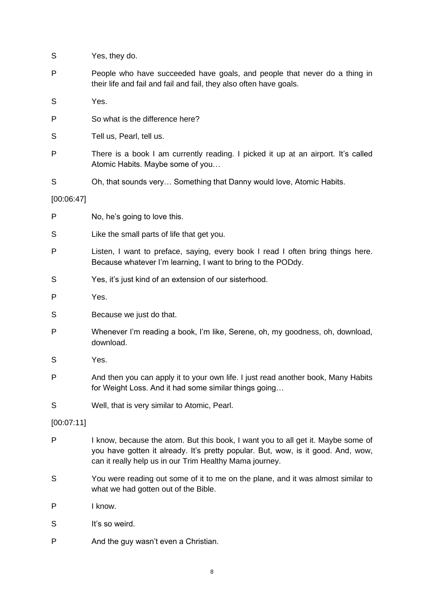- S Yes, they do.
- P People who have succeeded have goals, and people that never do a thing in their life and fail and fail and fail, they also often have goals.
- S Yes.
- P So what is the difference here?
- S Tell us, Pearl, tell us.
- P There is a book I am currently reading. I picked it up at an airport. It's called Atomic Habits. Maybe some of you…
- S Oh, that sounds very... Something that Danny would love, Atomic Habits.
- [00:06:47]
- P No, he's going to love this.
- S Like the small parts of life that get you.
- P Listen, I want to preface, saying, every book I read I often bring things here. Because whatever I'm learning, I want to bring to the PODdy.
- S Yes, it's just kind of an extension of our sisterhood.
- P Yes.
- S Because we just do that.
- P Whenever I'm reading a book, I'm like, Serene, oh, my goodness, oh, download, download.
- S Yes.
- P And then you can apply it to your own life. I just read another book, Many Habits for Weight Loss. And it had some similar things going…
- S Well, that is very similar to Atomic, Pearl.

[00:07:11]

- P I know, because the atom. But this book, I want you to all get it. Maybe some of you have gotten it already. It's pretty popular. But, wow, is it good. And, wow, can it really help us in our Trim Healthy Mama journey.
- S You were reading out some of it to me on the plane, and it was almost similar to what we had gotten out of the Bible.
- P I know.
- S It's so weird.
- P And the guy wasn't even a Christian.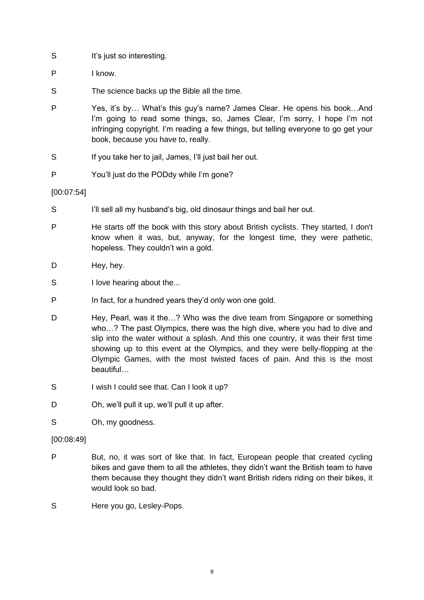- S It's just so interesting.
- P I know.
- S The science backs up the Bible all the time.
- P Yes, it's by… What's this guy's name? James Clear. He opens his book…And I'm going to read some things, so, James Clear, I'm sorry, I hope I'm not infringing copyright. I'm reading a few things, but telling everyone to go get your book, because you have to, really.
- S If you take her to jail, James, I'll just bail her out.
- P You'll just do the PODdy while I'm gone?

#### [00:07:54]

- S I'll sell all my husband's big, old dinosaur things and bail her out.
- P He starts off the book with this story about British cyclists. They started, I don't know when it was, but, anyway, for the longest time, they were pathetic, hopeless. They couldn't win a gold.
- D Hey, hey.
- S I love hearing about the...
- P In fact, for a hundred years they'd only won one gold.
- D Hey, Pearl, was it the...? Who was the dive team from Singapore or something who…? The past Olympics, there was the high dive, where you had to dive and slip into the water without a splash. And this one country, it was their first time showing up to this event at the Olympics, and they were belly-flopping at the Olympic Games, with the most twisted faces of pain. And this is the most beautiful…
- S I wish I could see that. Can I look it up?
- D Oh, we'll pull it up, we'll pull it up after.
- S Oh, my goodness.

#### [00:08:49]

- P But, no, it was sort of like that. In fact, European people that created cycling bikes and gave them to all the athletes, they didn't want the British team to have them because they thought they didn't want British riders riding on their bikes, it would look so bad.
- S Here you go, Lesley-Pops.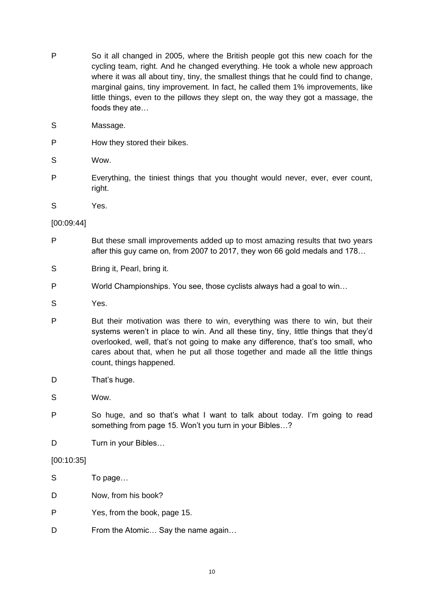- P So it all changed in 2005, where the British people got this new coach for the cycling team, right. And he changed everything. He took a whole new approach where it was all about tiny, tiny, the smallest things that he could find to change, marginal gains, tiny improvement. In fact, he called them 1% improvements, like little things, even to the pillows they slept on, the way they got a massage, the foods they ate…
- S Massage.
- P How they stored their bikes.
- S Wow.
- P Everything, the tiniest things that you thought would never, ever, ever count, right.
- S Yes.

#### [00:09:44]

- P But these small improvements added up to most amazing results that two years after this guy came on, from 2007 to 2017, they won 66 gold medals and 178…
- S Bring it, Pearl, bring it.
- P World Championships. You see, those cyclists always had a goal to win…
- S Yes.
- P But their motivation was there to win, everything was there to win, but their systems weren't in place to win. And all these tiny, tiny, little things that they'd overlooked, well, that's not going to make any difference, that's too small, who cares about that, when he put all those together and made all the little things count, things happened.
- D That's huge.

S Wow.

- P So huge, and so that's what I want to talk about today. I'm going to read something from page 15. Won't you turn in your Bibles…?
- D Turn in your Bibles...

# [00:10:35]

| S | To page                            |
|---|------------------------------------|
| D | Now, from his book?                |
| P | Yes, from the book, page 15.       |
| D | From the Atomic Say the name again |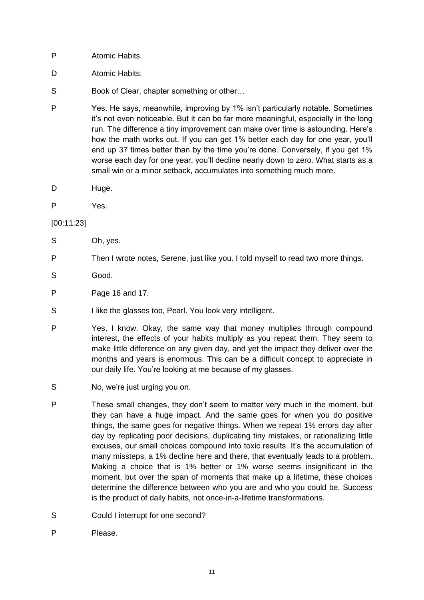- P Atomic Habits.
- D Atomic Habits.
- S Book of Clear, chapter something or other...
- P Yes. He says, meanwhile, improving by 1% isn't particularly notable. Sometimes it's not even noticeable. But it can be far more meaningful, especially in the long run. The difference a tiny improvement can make over time is astounding. Here's how the math works out. If you can get 1% better each day for one year, you'll end up 37 times better than by the time you're done. Conversely, if you get 1% worse each day for one year, you'll decline nearly down to zero. What starts as a small win or a minor setback, accumulates into something much more.
- D Huge.
- P Yes.

[00:11:23]

- S Oh, yes.
- P Then I wrote notes, Serene, just like you. I told myself to read two more things.
- S<sub>Good</sub>.
- P Page 16 and 17.
- S I like the glasses too, Pearl. You look very intelligent.
- P Yes, I know. Okay, the same way that money multiplies through compound interest, the effects of your habits multiply as you repeat them. They seem to make little difference on any given day, and yet the impact they deliver over the months and years is enormous. This can be a difficult concept to appreciate in our daily life. You're looking at me because of my glasses.
- S No, we're just urging you on.
- P These small changes, they don't seem to matter very much in the moment, but they can have a huge impact. And the same goes for when you do positive things, the same goes for negative things. When we repeat 1% errors day after day by replicating poor decisions, duplicating tiny mistakes, or rationalizing little excuses, our small choices compound into toxic results. It's the accumulation of many missteps, a 1% decline here and there, that eventually leads to a problem. Making a choice that is 1% better or 1% worse seems insignificant in the moment, but over the span of moments that make up a lifetime, these choices determine the difference between who you are and who you could be. Success is the product of daily habits, not once-in-a-lifetime transformations.
- S Could I interrupt for one second?
- P Please.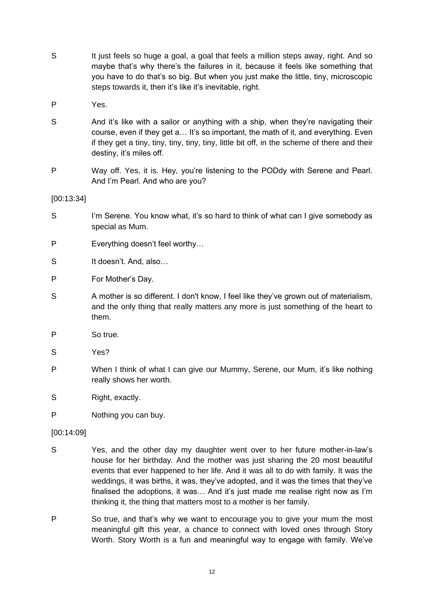- S It just feels so huge a goal, a goal that feels a million steps away, right. And so maybe that's why there's the failures in it, because it feels like something that you have to do that's so big. But when you just make the little, tiny, microscopic steps towards it, then it's like it's inevitable, right.
- P Yes.
- S And it's like with a sailor or anything with a ship, when they're navigating their course, even if they get a… It's so important, the math of it, and everything. Even if they get a tiny, tiny, tiny, tiny, tiny, little bit off, in the scheme of there and their destiny, it's miles off.
- P Way off. Yes, it is. Hey, you're listening to the PODdy with Serene and Pearl. And I'm Pearl. And who are you?

[00:13:34]

- S I'm Serene. You know what, it's so hard to think of what can I give somebody as special as Mum.
- P Everything doesn't feel worthy…
- S It doesn't. And, also...
- P For Mother's Day.
- S A mother is so different. I don't know, I feel like they've grown out of materialism, and the only thing that really matters any more is just something of the heart to them.
- P So true.
- S Yes?
- P When I think of what I can give our Mummy, Serene, our Mum, it's like nothing really shows her worth.
- S Right, exactly.
- P Nothing you can buy.

[00:14:09]

- S Yes, and the other day my daughter went over to her future mother-in-law's house for her birthday. And the mother was just sharing the 20 most beautiful events that ever happened to her life. And it was all to do with family. It was the weddings, it was births, it was, they've adopted, and it was the times that they've finalised the adoptions, it was… And it's just made me realise right now as I'm thinking it, the thing that matters most to a mother is her family.
- P So true, and that's why we want to encourage you to give your mum the most meaningful gift this year, a chance to connect with loved ones through Story Worth. Story Worth is a fun and meaningful way to engage with family. We've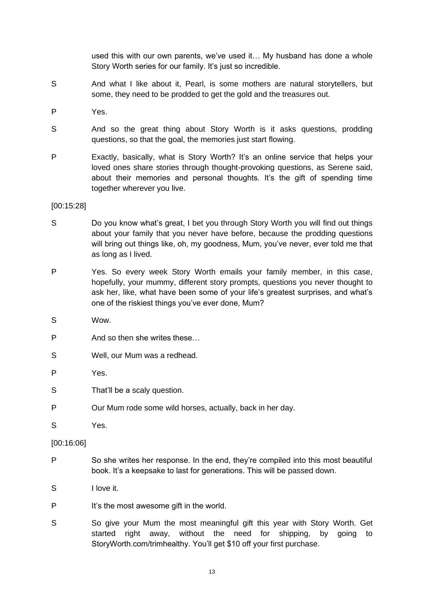used this with our own parents, we've used it… My husband has done a whole Story Worth series for our family. It's just so incredible.

- S And what I like about it, Pearl, is some mothers are natural storytellers, but some, they need to be prodded to get the gold and the treasures out.
- P Yes.
- S And so the great thing about Story Worth is it asks questions, prodding questions, so that the goal, the memories just start flowing.
- P Exactly, basically, what is Story Worth? It's an online service that helps your loved ones share stories through thought-provoking questions, as Serene said, about their memories and personal thoughts. It's the gift of spending time together wherever you live.

#### [00:15:28]

- S Do you know what's great, I bet you through Story Worth you will find out things about your family that you never have before, because the prodding questions will bring out things like, oh, my goodness, Mum, you've never, ever told me that as long as I lived.
- P Yes. So every week Story Worth emails your family member, in this case, hopefully, your mummy, different story prompts, questions you never thought to ask her, like, what have been some of your life's greatest surprises, and what's one of the riskiest things you've ever done, Mum?
- S Wow.
- P And so then she writes these…
- S Well, our Mum was a redhead.
- P Yes.
- S That'll be a scaly question.
- P Our Mum rode some wild horses, actually, back in her day.
- S Yes.

#### [00:16:06]

- P So she writes her response. In the end, they're compiled into this most beautiful book. It's a keepsake to last for generations. This will be passed down.
- S I love it.
- P It's the most awesome gift in the world.
- S So give your Mum the most meaningful gift this year with Story Worth. Get started right away, without the need for shipping, by going to StoryWorth.com/trimhealthy. You'll get \$10 off your first purchase.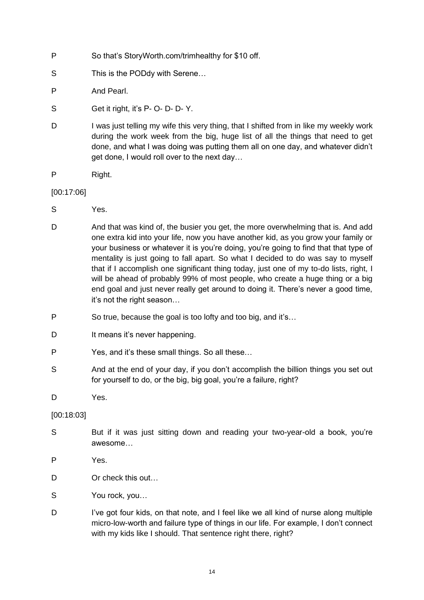- P So that's StoryWorth.com/trimhealthy for \$10 off.
- S This is the PODdy with Serene...
- P And Pearl.
- S Get it right, it's P- O- D- D- Y.
- D I was just telling my wife this very thing, that I shifted from in like my weekly work during the work week from the big, huge list of all the things that need to get done, and what I was doing was putting them all on one day, and whatever didn't get done, I would roll over to the next day…
- P Right.

[00:17:06]

- S Yes.
- D And that was kind of, the busier you get, the more overwhelming that is. And add one extra kid into your life, now you have another kid, as you grow your family or your business or whatever it is you're doing, you're going to find that that type of mentality is just going to fall apart. So what I decided to do was say to myself that if I accomplish one significant thing today, just one of my to-do lists, right, I will be ahead of probably 99% of most people, who create a huge thing or a big end goal and just never really get around to doing it. There's never a good time, it's not the right season…
- P So true, because the goal is too lofty and too big, and it's…
- D It means it's never happening.
- P Yes, and it's these small things. So all these…
- S And at the end of your day, if you don't accomplish the billion things you set out for yourself to do, or the big, big goal, you're a failure, right?
- D Yes.

#### [00:18:03]

- S But if it was just sitting down and reading your two-year-old a book, you're awesome…
- P Yes.
- D Or check this out...
- S You rock, you…
- D I've got four kids, on that note, and I feel like we all kind of nurse along multiple micro-low-worth and failure type of things in our life. For example, I don't connect with my kids like I should. That sentence right there, right?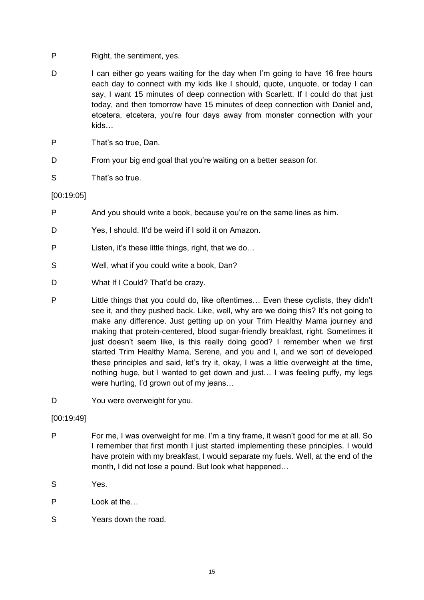- P Right, the sentiment, yes.
- D I can either go years waiting for the day when I'm going to have 16 free hours each day to connect with my kids like I should, quote, unquote, or today I can say, I want 15 minutes of deep connection with Scarlett. If I could do that just today, and then tomorrow have 15 minutes of deep connection with Daniel and, etcetera, etcetera, you're four days away from monster connection with your kids…
- P That's so true, Dan.
- D From your big end goal that you're waiting on a better season for.
- S That's so true.

#### [00:19:05]

- P And you should write a book, because you're on the same lines as him.
- D Yes, I should. It'd be weird if I sold it on Amazon.
- P Listen, it's these little things, right, that we do…
- S Well, what if you could write a book, Dan?
- D What If I Could? That'd be crazy.
- P Little things that you could do, like oftentimes… Even these cyclists, they didn't see it, and they pushed back. Like, well, why are we doing this? It's not going to make any difference. Just getting up on your Trim Healthy Mama journey and making that protein-centered, blood sugar-friendly breakfast, right. Sometimes it just doesn't seem like, is this really doing good? I remember when we first started Trim Healthy Mama, Serene, and you and I, and we sort of developed these principles and said, let's try it, okay, I was a little overweight at the time, nothing huge, but I wanted to get down and just… I was feeling puffy, my legs were hurting, I'd grown out of my jeans…
- D You were overweight for you.

#### [00:19:49]

- P For me, I was overweight for me. I'm a tiny frame, it wasn't good for me at all. So I remember that first month I just started implementing these principles. I would have protein with my breakfast, I would separate my fuels. Well, at the end of the month, I did not lose a pound. But look what happened…
- S Yes.
- P Look at the…
- S Years down the road.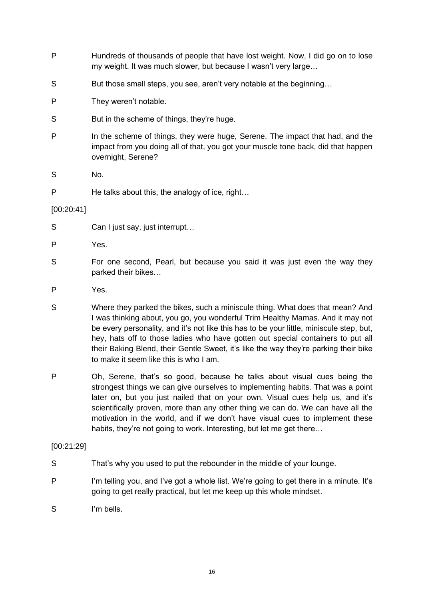- P Hundreds of thousands of people that have lost weight. Now, I did go on to lose my weight. It was much slower, but because I wasn't very large…
- S But those small steps, you see, aren't very notable at the beginning...
- P They weren't notable.
- S But in the scheme of things, they're huge.
- P In the scheme of things, they were huge, Serene. The impact that had, and the impact from you doing all of that, you got your muscle tone back, did that happen overnight, Serene?

S No.

P He talks about this, the analogy of ice, right...

#### [00:20:41]

- S Can I just say, just interrupt...
- P Yes.
- S For one second, Pearl, but because you said it was just even the way they parked their bikes…
- P Yes.
- S Where they parked the bikes, such a miniscule thing. What does that mean? And I was thinking about, you go, you wonderful Trim Healthy Mamas. And it may not be every personality, and it's not like this has to be your little, miniscule step, but, hey, hats off to those ladies who have gotten out special containers to put all their Baking Blend, their Gentle Sweet, it's like the way they're parking their bike to make it seem like this is who I am.
- P Oh, Serene, that's so good, because he talks about visual cues being the strongest things we can give ourselves to implementing habits. That was a point later on, but you just nailed that on your own. Visual cues help us, and it's scientifically proven, more than any other thing we can do. We can have all the motivation in the world, and if we don't have visual cues to implement these habits, they're not going to work. Interesting, but let me get there...

#### [00:21:29]

- S That's why you used to put the rebounder in the middle of your lounge.
- P I'm telling you, and I've got a whole list. We're going to get there in a minute. It's going to get really practical, but let me keep up this whole mindset.
- S I'm bells.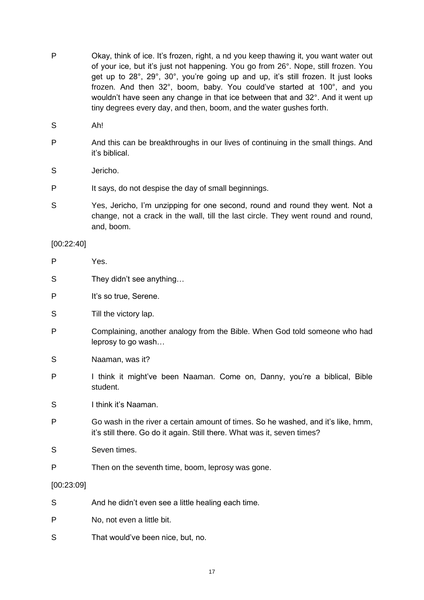- P Okay, think of ice. It's frozen, right, a nd you keep thawing it, you want water out of your ice, but it's just not happening. You go from 26°. Nope, still frozen. You get up to 28°, 29°, 30°, you're going up and up, it's still frozen. It just looks frozen. And then 32°, boom, baby. You could've started at 100°, and you wouldn't have seen any change in that ice between that and 32°. And it went up tiny degrees every day, and then, boom, and the water gushes forth.
- S Ah!
- P And this can be breakthroughs in our lives of continuing in the small things. And it's biblical.
- S Jericho.
- P It says, do not despise the day of small beginnings.
- S Yes, Jericho, I'm unzipping for one second, round and round they went. Not a change, not a crack in the wall, till the last circle. They went round and round, and, boom.

#### [00:22:40]

- P Yes.
- S They didn't see anything...
- P It's so true, Serene.
- S Till the victory lap.
- P Complaining, another analogy from the Bible. When God told someone who had leprosy to go wash…
- S Naaman, was it?
- P I think it might've been Naaman. Come on, Danny, you're a biblical, Bible student.
- S I think it's Naaman.
- P Go wash in the river a certain amount of times. So he washed, and it's like, hmm, it's still there. Go do it again. Still there. What was it, seven times?
- S Seven times.
- P Then on the seventh time, boom, leprosy was gone.

#### [00:23:09]

- S And he didn't even see a little healing each time.
- P No, not even a little bit.
- S That would've been nice, but, no.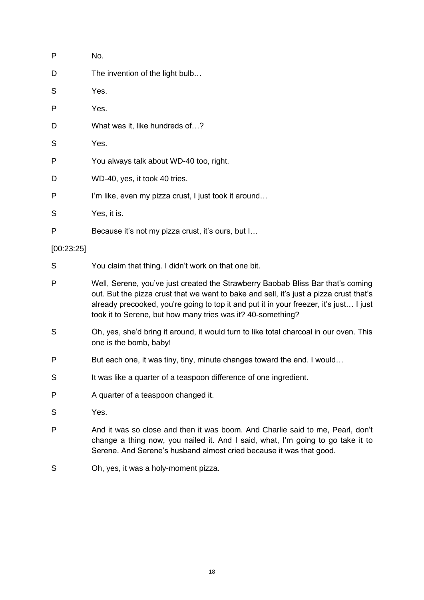| P          | No.                                                    |  |
|------------|--------------------------------------------------------|--|
| D          | The invention of the light bulb                        |  |
| S          | Yes.                                                   |  |
| P          | Yes.                                                   |  |
| D          | What was it, like hundreds of?                         |  |
| S          | Yes.                                                   |  |
| P          | You always talk about WD-40 too, right.                |  |
| D          | WD-40, yes, it took 40 tries.                          |  |
| P          | I'm like, even my pizza crust, I just took it around   |  |
| S          | Yes, it is.                                            |  |
| P          | Because it's not my pizza crust, it's ours, but I      |  |
| [00:23:25] |                                                        |  |
| S          | You claim that thing. I didn't work on that one bit.   |  |
| P          | Well, Serene, you've just created the Strawberry Baoba |  |

- ab Bliss Bar that's coming out. But the pizza crust that we want to bake and sell, it's just a pizza crust that's already precooked, you're going to top it and put it in your freezer, it's just… I just took it to Serene, but how many tries was it? 40-something?
- S Oh, yes, she'd bring it around, it would turn to like total charcoal in our oven. This one is the bomb, baby!
- P But each one, it was tiny, tiny, minute changes toward the end. I would...
- S It was like a quarter of a teaspoon difference of one ingredient.
- P A quarter of a teaspoon changed it.
- S Yes.
- P And it was so close and then it was boom. And Charlie said to me, Pearl, don't change a thing now, you nailed it. And I said, what, I'm going to go take it to Serene. And Serene's husband almost cried because it was that good.
- S Oh, yes, it was a holy-moment pizza.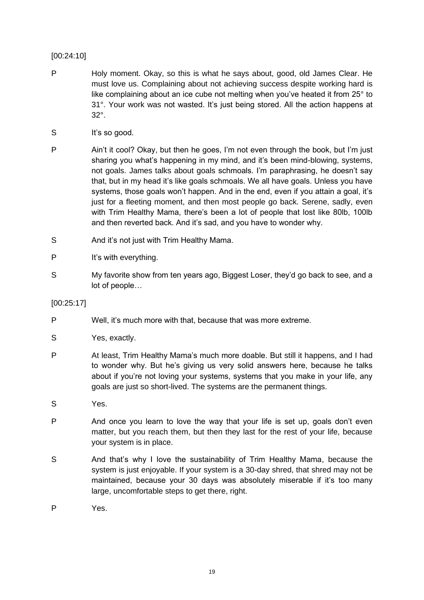# [00:24:10]

- P Holy moment. Okay, so this is what he says about, good, old James Clear. He must love us. Complaining about not achieving success despite working hard is like complaining about an ice cube not melting when you've heated it from 25° to 31°. Your work was not wasted. It's just being stored. All the action happens at 32°.
- S It's so good.
- P Ain't it cool? Okay, but then he goes, I'm not even through the book, but I'm just sharing you what's happening in my mind, and it's been mind-blowing, systems, not goals. James talks about goals schmoals. I'm paraphrasing, he doesn't say that, but in my head it's like goals schmoals. We all have goals. Unless you have systems, those goals won't happen. And in the end, even if you attain a goal, it's just for a fleeting moment, and then most people go back. Serene, sadly, even with Trim Healthy Mama, there's been a lot of people that lost like 80lb, 100lb and then reverted back. And it's sad, and you have to wonder why.
- S And it's not just with Trim Healthy Mama.
- P It's with everything.
- S My favorite show from ten years ago, Biggest Loser, they'd go back to see, and a lot of people…

#### [00:25:17]

- P Well, it's much more with that, because that was more extreme.
- S Yes, exactly.
- P At least, Trim Healthy Mama's much more doable. But still it happens, and I had to wonder why. But he's giving us very solid answers here, because he talks about if you're not loving your systems, systems that you make in your life, any goals are just so short-lived. The systems are the permanent things.
- S Yes.
- P And once you learn to love the way that your life is set up, goals don't even matter, but you reach them, but then they last for the rest of your life, because your system is in place.
- S And that's why I love the sustainability of Trim Healthy Mama, because the system is just enjoyable. If your system is a 30-day shred, that shred may not be maintained, because your 30 days was absolutely miserable if it's too many large, uncomfortable steps to get there, right.
- P Yes.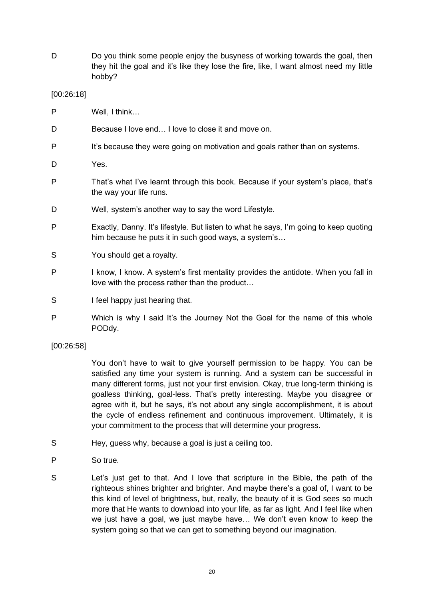D Do you think some people enjoy the busyness of working towards the goal, then they hit the goal and it's like they lose the fire, like, I want almost need my little hobby?

#### [00:26:18]

- P Well, I think…
- D Because I love end... I love to close it and move on.
- P It's because they were going on motivation and goals rather than on systems.
- D Yes.
- P That's what I've learnt through this book. Because if your system's place, that's the way your life runs.
- D Well, system's another way to say the word Lifestyle.
- P Exactly, Danny. It's lifestyle. But listen to what he says, I'm going to keep quoting him because he puts it in such good ways, a system's…
- S You should get a royalty.
- P I know, I know. A system's first mentality provides the antidote. When you fall in love with the process rather than the product…
- S I feel happy just hearing that.
- P Which is why I said It's the Journey Not the Goal for the name of this whole PODdy.

#### [00:26:58]

You don't have to wait to give yourself permission to be happy. You can be satisfied any time your system is running. And a system can be successful in many different forms, just not your first envision. Okay, true long-term thinking is goalless thinking, goal-less. That's pretty interesting. Maybe you disagree or agree with it, but he says, it's not about any single accomplishment, it is about the cycle of endless refinement and continuous improvement. Ultimately, it is your commitment to the process that will determine your progress.

- S Hey, guess why, because a goal is just a ceiling too.
- P So true.
- S Let's just get to that. And I love that scripture in the Bible, the path of the righteous shines brighter and brighter. And maybe there's a goal of, I want to be this kind of level of brightness, but, really, the beauty of it is God sees so much more that He wants to download into your life, as far as light. And I feel like when we just have a goal, we just maybe have… We don't even know to keep the system going so that we can get to something beyond our imagination.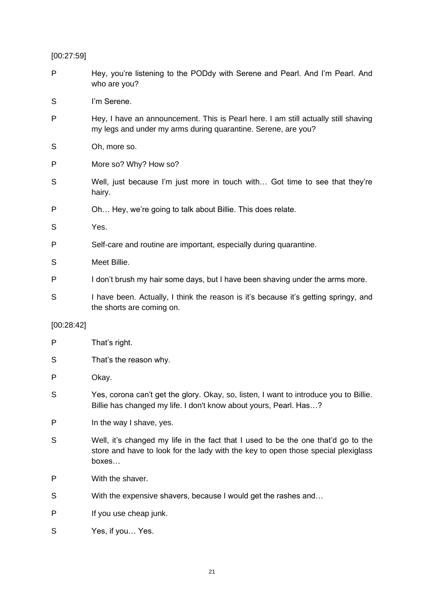[00:27:59]

| P          | Hey, you're listening to the PODdy with Serene and Pearl. And I'm Pearl. And<br>who are you?                                                        |  |
|------------|-----------------------------------------------------------------------------------------------------------------------------------------------------|--|
| S          | I'm Serene.                                                                                                                                         |  |
| P          | Hey, I have an announcement. This is Pearl here. I am still actually still shaving<br>my legs and under my arms during quarantine. Serene, are you? |  |
| S          | Oh, more so.                                                                                                                                        |  |
| P          | More so? Why? How so?                                                                                                                               |  |
| S          | Well, just because I'm just more in touch with Got time to see that they're<br>hairy.                                                               |  |
| P          | Oh Hey, we're going to talk about Billie. This does relate.                                                                                         |  |
| S          | Yes.                                                                                                                                                |  |
| P          | Self-care and routine are important, especially during quarantine.                                                                                  |  |
| S          | Meet Billie.                                                                                                                                        |  |
| P          | I don't brush my hair some days, but I have been shaving under the arms more.                                                                       |  |
| S          | I have been. Actually, I think the reason is it's because it's getting springy, and<br>the shorts are coming on.                                    |  |
| [00:28:42] |                                                                                                                                                     |  |
| P          | That's right.                                                                                                                                       |  |
| S          | That's the reason why.                                                                                                                              |  |

P Okay.

- S Yes, corona can't get the glory. Okay, so, listen, I want to introduce you to Billie. Billie has changed my life. I don't know about yours, Pearl. Has…?
- P In the way I shave, yes.
- S Well, it's changed my life in the fact that I used to be the one that'd go to the store and have to look for the lady with the key to open those special plexiglass boxes…
- P With the shaver.
- S With the expensive shavers, because I would get the rashes and…
- P If you use cheap junk.
- S Yes, if you... Yes.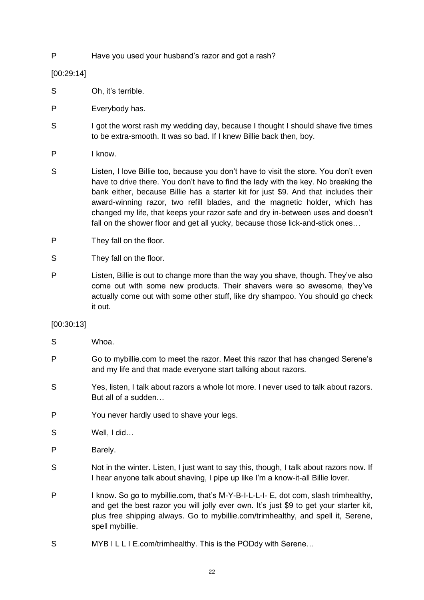P Have you used your husband's razor and got a rash?

[00:29:14]

- S Oh, it's terrible.
- P Everybody has.
- S I got the worst rash my wedding day, because I thought I should shave five times to be extra-smooth. It was so bad. If I knew Billie back then, boy.
- P I know.
- S Listen, I love Billie too, because you don't have to visit the store. You don't even have to drive there. You don't have to find the lady with the key. No breaking the bank either, because Billie has a starter kit for just \$9. And that includes their award-winning razor, two refill blades, and the magnetic holder, which has changed my life, that keeps your razor safe and dry in-between uses and doesn't fall on the shower floor and get all yucky, because those lick-and-stick ones…
- P They fall on the floor.
- S They fall on the floor.
- P Listen, Billie is out to change more than the way you shave, though. They've also come out with some new products. Their shavers were so awesome, they've actually come out with some other stuff, like dry shampoo. You should go check it out.

#### [00:30:13]

- S Whoa.
- P Go to mybillie.com to meet the razor. Meet this razor that has changed Serene's and my life and that made everyone start talking about razors.
- S Yes, listen, I talk about razors a whole lot more. I never used to talk about razors. But all of a sudden…
- P You never hardly used to shave your legs.
- S Well, I did…
- P Barely.
- S Not in the winter. Listen, I just want to say this, though, I talk about razors now. If I hear anyone talk about shaving, I pipe up like I'm a know-it-all Billie lover.
- P I know. So go to mybillie.com, that's M-Y-B-I-L-L-I- E, dot com, slash trimhealthy, and get the best razor you will jolly ever own. It's just \$9 to get your starter kit, plus free shipping always. Go to mybillie.com/trimhealthy, and spell it, Serene, spell mybillie.
- S MYB I L L I E.com/trimhealthy. This is the PODdy with Serene…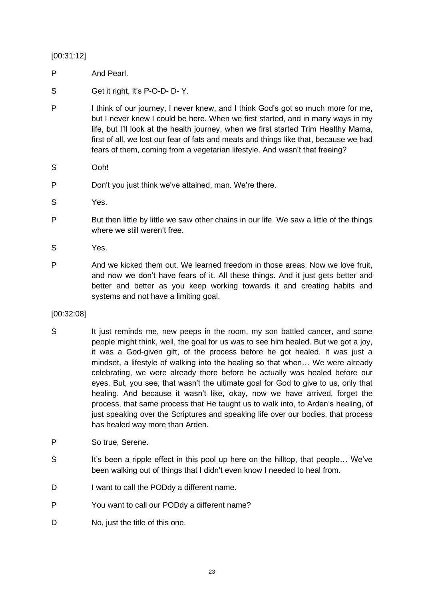[00:31:12]

- P And Pearl.
- S Get it right, it's P-O-D- D- Y.
- P I think of our journey, I never knew, and I think God's got so much more for me, but I never knew I could be here. When we first started, and in many ways in my life, but I'll look at the health journey, when we first started Trim Healthy Mama, first of all, we lost our fear of fats and meats and things like that, because we had fears of them, coming from a vegetarian lifestyle. And wasn't that freeing?
- S Ooh!
- P Don't you just think we've attained, man. We're there.
- S Yes.
- P But then little by little we saw other chains in our life. We saw a little of the things where we still weren't free.
- S Yes.
- P And we kicked them out. We learned freedom in those areas. Now we love fruit, and now we don't have fears of it. All these things. And it just gets better and better and better as you keep working towards it and creating habits and systems and not have a limiting goal.
- [00:32:08]
- S It just reminds me, new peeps in the room, my son battled cancer, and some people might think, well, the goal for us was to see him healed. But we got a joy, it was a God-given gift, of the process before he got healed. It was just a mindset, a lifestyle of walking into the healing so that when… We were already celebrating, we were already there before he actually was healed before our eyes. But, you see, that wasn't the ultimate goal for God to give to us, only that healing. And because it wasn't like, okay, now we have arrived, forget the process, that same process that He taught us to walk into, to Arden's healing, of just speaking over the Scriptures and speaking life over our bodies, that process has healed way more than Arden.
- P So true, Serene.
- S It's been a ripple effect in this pool up here on the hilltop, that people... We've been walking out of things that I didn't even know I needed to heal from.
- D I want to call the PODdy a different name.
- P You want to call our PODdy a different name?
- D No. just the title of this one.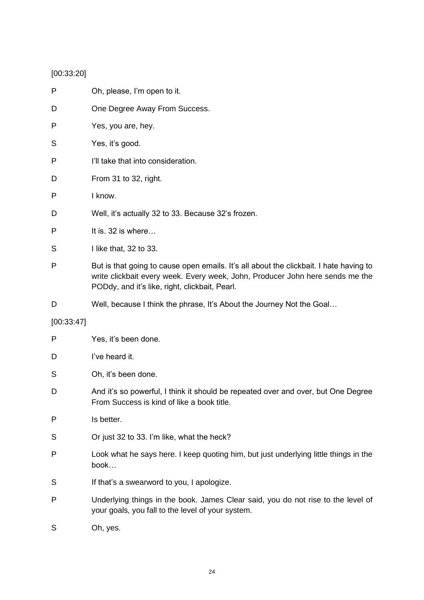# [00:33:20]

| Ρ          | Oh, please, I'm open to it.                                                                                                                                                                                               |  |
|------------|---------------------------------------------------------------------------------------------------------------------------------------------------------------------------------------------------------------------------|--|
| D          | One Degree Away From Success.                                                                                                                                                                                             |  |
| Ρ          | Yes, you are, hey.                                                                                                                                                                                                        |  |
| S          | Yes, it's good.                                                                                                                                                                                                           |  |
| Ρ          | I'll take that into consideration.                                                                                                                                                                                        |  |
| D          | From 31 to 32, right.                                                                                                                                                                                                     |  |
| Ρ          | I know.                                                                                                                                                                                                                   |  |
| D          | Well, it's actually 32 to 33. Because 32's frozen.                                                                                                                                                                        |  |
| Ρ          | It is. 32 is where                                                                                                                                                                                                        |  |
| S          | I like that, 32 to 33.                                                                                                                                                                                                    |  |
| Ρ          | But is that going to cause open emails. It's all about the clickbait. I hate having to<br>write clickbait every week. Every week, John, Producer John here sends me the<br>PODdy, and it's like, right, clickbait, Pearl. |  |
| D          | Well, because I think the phrase, It's About the Journey Not the Goal                                                                                                                                                     |  |
| [00:33:47] |                                                                                                                                                                                                                           |  |
| Ρ          | Yes, it's been done.                                                                                                                                                                                                      |  |
| D          | I've heard it.                                                                                                                                                                                                            |  |
| S          | Oh, it's been done.                                                                                                                                                                                                       |  |
| D          | And it's so powerful, I think it should be repeated over and over, but One Degree<br>From Success is kind of like a book title.                                                                                           |  |
| Ρ          | Is better.                                                                                                                                                                                                                |  |
| S          | Or just 32 to 33. I'm like, what the heck?                                                                                                                                                                                |  |
| Ρ          | Look what he says here. I keep quoting him, but just underlying little things in the<br>book                                                                                                                              |  |
| S          | If that's a swearword to you, I apologize.                                                                                                                                                                                |  |
| Ρ          | Underlying things in the book. James Clear said, you do not rise to the level of<br>your goals, you fall to the level of your system.                                                                                     |  |
|            |                                                                                                                                                                                                                           |  |

S Oh, yes.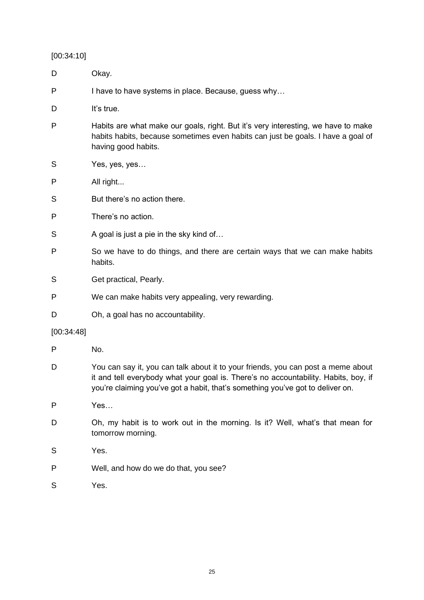[00:34:10]

| D          | Okay.                                                                                                                                                                                                                                                     |  |
|------------|-----------------------------------------------------------------------------------------------------------------------------------------------------------------------------------------------------------------------------------------------------------|--|
| P          | I have to have systems in place. Because, guess why                                                                                                                                                                                                       |  |
| D          | It's true.                                                                                                                                                                                                                                                |  |
| P          | Habits are what make our goals, right. But it's very interesting, we have to make<br>habits habits, because sometimes even habits can just be goals. I have a goal of<br>having good habits.                                                              |  |
| S          | Yes, yes, yes                                                                                                                                                                                                                                             |  |
| P          | All right                                                                                                                                                                                                                                                 |  |
| S          | But there's no action there.                                                                                                                                                                                                                              |  |
| P          | There's no action.                                                                                                                                                                                                                                        |  |
| S          | A goal is just a pie in the sky kind of                                                                                                                                                                                                                   |  |
| P          | So we have to do things, and there are certain ways that we can make habits<br>habits.                                                                                                                                                                    |  |
| S          | Get practical, Pearly.                                                                                                                                                                                                                                    |  |
| P          | We can make habits very appealing, very rewarding.                                                                                                                                                                                                        |  |
| D          | Oh, a goal has no accountability.                                                                                                                                                                                                                         |  |
| [00:34:48] |                                                                                                                                                                                                                                                           |  |
| P          | No.                                                                                                                                                                                                                                                       |  |
| D          | You can say it, you can talk about it to your friends, you can post a meme about<br>it and tell everybody what your goal is. There's no accountability. Habits, boy, if<br>you're claiming you've got a habit, that's something you've got to deliver on. |  |
| P          | Yes                                                                                                                                                                                                                                                       |  |
| D          | Oh, my habit is to work out in the morning. Is it? Well, what's that mean for<br>tomorrow morning.                                                                                                                                                        |  |
| S          | Yes.                                                                                                                                                                                                                                                      |  |
| P          | Well, and how do we do that, you see?                                                                                                                                                                                                                     |  |
| S          | Yes.                                                                                                                                                                                                                                                      |  |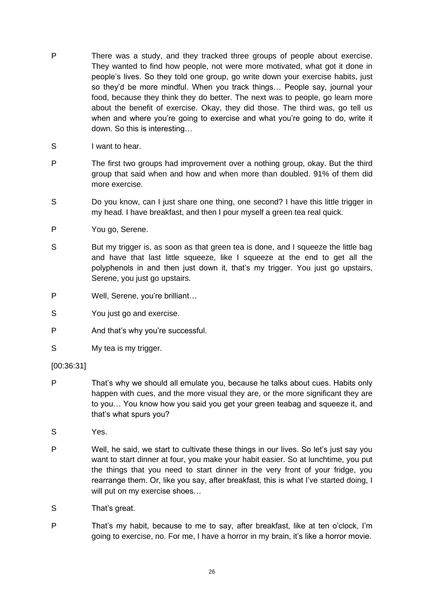- P There was a study, and they tracked three groups of people about exercise. They wanted to find how people, not were more motivated, what got it done in people's lives. So they told one group, go write down your exercise habits, just so they'd be more mindful. When you track things… People say, journal your food, because they think they do better. The next was to people, go learn more about the benefit of exercise. Okay, they did those. The third was, go tell us when and where you're going to exercise and what you're going to do, write it down. So this is interesting…
- S I want to hear.
- P The first two groups had improvement over a nothing group, okay. But the third group that said when and how and when more than doubled. 91% of them did more exercise.
- S Do you know, can I just share one thing, one second? I have this little trigger in my head. I have breakfast, and then I pour myself a green tea real quick.
- P You go, Serene.
- S But my trigger is, as soon as that green tea is done, and I squeeze the little bag and have that last little squeeze, like I squeeze at the end to get all the polyphenols in and then just down it, that's my trigger. You just go upstairs, Serene, you just go upstairs.
- P Well, Serene, you're brilliant…
- S You just go and exercise.
- P And that's why you're successful.
- S My tea is my trigger.
- [00:36:31]
- P That's why we should all emulate you, because he talks about cues. Habits only happen with cues, and the more visual they are, or the more significant they are to you… You know how you said you get your green teabag and squeeze it, and that's what spurs you?
- S Yes.
- P Well, he said, we start to cultivate these things in our lives. So let's just say you want to start dinner at four, you make your habit easier. So at lunchtime, you put the things that you need to start dinner in the very front of your fridge, you rearrange them. Or, like you say, after breakfast, this is what I've started doing, I will put on my exercise shoes…
- S That's great.
- P That's my habit, because to me to say, after breakfast, like at ten o'clock, I'm going to exercise, no. For me, I have a horror in my brain, it's like a horror movie.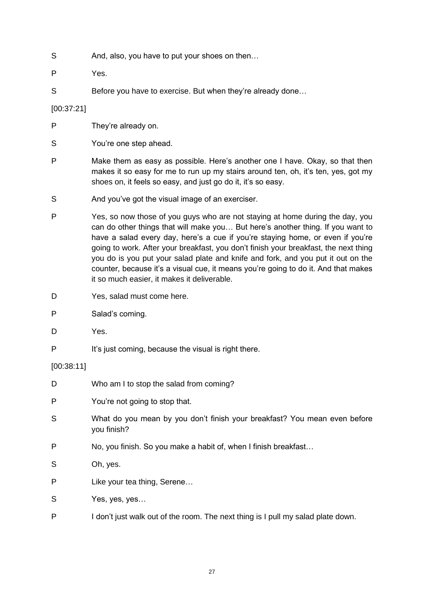- S And, also, you have to put your shoes on then...
- P Yes.
- S Before you have to exercise. But when they're already done...

[00:37:21]

- P They're already on.
- S You're one step ahead.
- P Make them as easy as possible. Here's another one I have. Okay, so that then makes it so easy for me to run up my stairs around ten, oh, it's ten, yes, got my shoes on, it feels so easy, and just go do it, it's so easy.
- S And you've got the visual image of an exerciser.
- P Yes, so now those of you guys who are not staying at home during the day, you can do other things that will make you… But here's another thing. If you want to have a salad every day, here's a cue if you're staying home, or even if you're going to work. After your breakfast, you don't finish your breakfast, the next thing you do is you put your salad plate and knife and fork, and you put it out on the counter, because it's a visual cue, it means you're going to do it. And that makes it so much easier, it makes it deliverable.
- D Yes, salad must come here.
- P Salad's coming.
- D Yes.
- P It's just coming, because the visual is right there.

#### [00:38:11]

| D | Who am I to stop the salad from coming?                                                  |  |
|---|------------------------------------------------------------------------------------------|--|
| P | You're not going to stop that.                                                           |  |
| S | What do you mean by you don't finish your breakfast? You mean even before<br>you finish? |  |
| P | No, you finish. So you make a habit of, when I finish breakfast                          |  |
| S | Oh, yes.                                                                                 |  |
| P | Like your tea thing, Serene                                                              |  |
| S | Yes, yes, yes                                                                            |  |
|   |                                                                                          |  |

P I don't just walk out of the room. The next thing is I pull my salad plate down.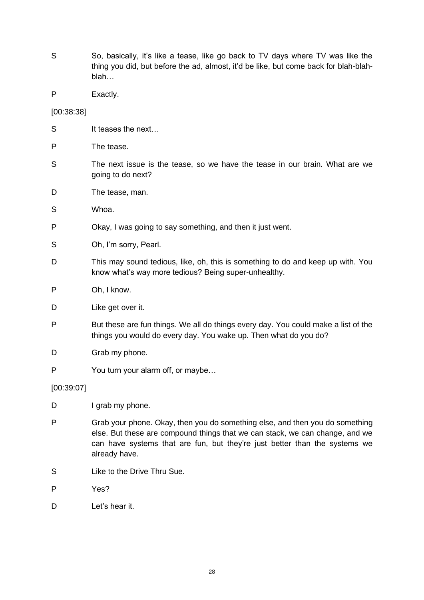- S So, basically, it's like a tease, like go back to TV days where TV was like the thing you did, but before the ad, almost, it'd be like, but come back for blah-blahblah…
- P Exactly.

[00:38:38]

- S It teases the next...
- P The tease.
- S The next issue is the tease, so we have the tease in our brain. What are we going to do next?
- D The tease, man.
- S Whoa.
- P Okay, I was going to say something, and then it just went.
- S Oh, I'm sorry, Pearl.
- D This may sound tedious, like, oh, this is something to do and keep up with. You know what's way more tedious? Being super-unhealthy.
- P Oh, I know.
- D Like get over it.
- P But these are fun things. We all do things every day. You could make a list of the things you would do every day. You wake up. Then what do you do?
- D Grab my phone.
- P You turn your alarm off, or maybe…

[00:39:07]

- D I grab my phone.
- P Grab your phone. Okay, then you do something else, and then you do something else. But these are compound things that we can stack, we can change, and we can have systems that are fun, but they're just better than the systems we already have.
- S Like to the Drive Thru Sue.
- P Yes?
- D Let's hear it.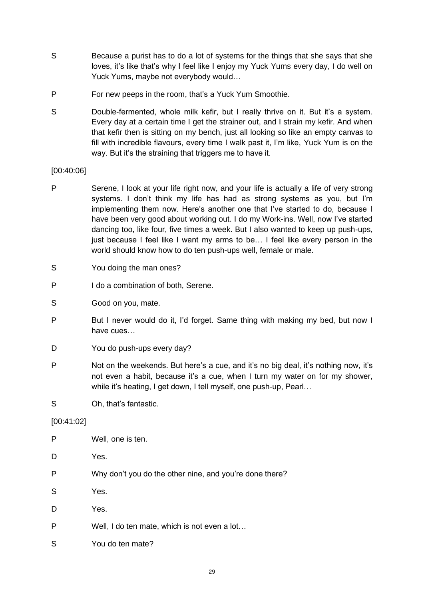- S Because a purist has to do a lot of systems for the things that she says that she loves, it's like that's why I feel like I enjoy my Yuck Yums every day, I do well on Yuck Yums, maybe not everybody would…
- P For new peeps in the room, that's a Yuck Yum Smoothie.
- S Double-fermented, whole milk kefir, but I really thrive on it. But it's a system. Every day at a certain time I get the strainer out, and I strain my kefir. And when that kefir then is sitting on my bench, just all looking so like an empty canvas to fill with incredible flavours, every time I walk past it, I'm like, Yuck Yum is on the way. But it's the straining that triggers me to have it.

#### [00:40:06]

- P Serene, I look at your life right now, and your life is actually a life of very strong systems. I don't think my life has had as strong systems as you, but I'm implementing them now. Here's another one that I've started to do, because I have been very good about working out. I do my Work-ins. Well, now I've started dancing too, like four, five times a week. But I also wanted to keep up push-ups, just because I feel like I want my arms to be… I feel like every person in the world should know how to do ten push-ups well, female or male.
- S You doing the man ones?
- P I do a combination of both, Serene.
- S Good on you, mate.
- P But I never would do it, I'd forget. Same thing with making my bed, but now I have cues…
- D You do push-ups every day?
- P Not on the weekends. But here's a cue, and it's no big deal, it's nothing now, it's not even a habit, because it's a cue, when I turn my water on for my shower, while it's heating, I get down, I tell myself, one push-up, Pearl…
- S Oh, that's fantastic.

#### [00:41:02]

P Well, one is ten. D Yes. P Why don't you do the other nine, and you're done there? S Yes. D Yes. P Well, I do ten mate, which is not even a lot… S You do ten mate?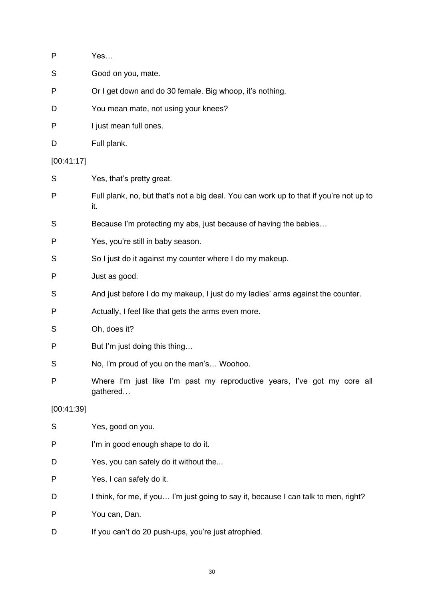| P          | Yes                                                                                           |  |
|------------|-----------------------------------------------------------------------------------------------|--|
| S          | Good on you, mate.                                                                            |  |
| P          | Or I get down and do 30 female. Big whoop, it's nothing.                                      |  |
| D          | You mean mate, not using your knees?                                                          |  |
| P          | I just mean full ones.                                                                        |  |
| D          | Full plank.                                                                                   |  |
| [00:41:17] |                                                                                               |  |
| S          | Yes, that's pretty great.                                                                     |  |
| Ρ          | Full plank, no, but that's not a big deal. You can work up to that if you're not up to<br>it. |  |
| S          | Because I'm protecting my abs, just because of having the babies                              |  |
| Ρ          | Yes, you're still in baby season.                                                             |  |
| S          | So I just do it against my counter where I do my makeup.                                      |  |
| Ρ          | Just as good.                                                                                 |  |
| S          | And just before I do my makeup, I just do my ladies' arms against the counter.                |  |
| Ρ          | Actually, I feel like that gets the arms even more.                                           |  |
| S          | Oh, does it?                                                                                  |  |
| P          | But I'm just doing this thing                                                                 |  |
| S          | No, I'm proud of you on the man's Woohoo.                                                     |  |
| P          | Where I'm just like I'm past my reproductive years, I've got my core all<br>gathered          |  |
| [00:41:39] |                                                                                               |  |
| S          | Yes, good on you.                                                                             |  |
| P          | I'm in good enough shape to do it.                                                            |  |
| D          | Yes, you can safely do it without the                                                         |  |
| Ρ          | Yes, I can safely do it.                                                                      |  |
| D          | I think, for me, if you I'm just going to say it, because I can talk to men, right?           |  |
| P          | You can, Dan.                                                                                 |  |
| D          | If you can't do 20 push-ups, you're just atrophied.                                           |  |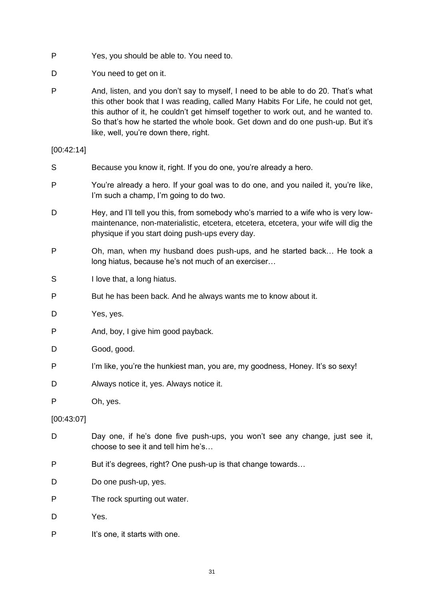- P Yes, you should be able to. You need to.
- D You need to get on it.
- P And, listen, and you don't say to myself, I need to be able to do 20. That's what this other book that I was reading, called Many Habits For Life, he could not get, this author of it, he couldn't get himself together to work out, and he wanted to. So that's how he started the whole book. Get down and do one push-up. But it's like, well, you're down there, right.

#### [00:42:14]

- S Because you know it, right. If you do one, you're already a hero.
- P You're already a hero. If your goal was to do one, and you nailed it, you're like, I'm such a champ, I'm going to do two.
- D Hey, and I'll tell you this, from somebody who's married to a wife who is very lowmaintenance, non-materialistic, etcetera, etcetera, etcetera, your wife will dig the physique if you start doing push-ups every day.
- P Oh, man, when my husband does push-ups, and he started back… He took a long hiatus, because he's not much of an exerciser…
- S I love that, a long hiatus.
- P But he has been back. And he always wants me to know about it.
- D Yes, yes.
- P And, boy, I give him good payback.
- D Good, good.
- P I'm like, you're the hunkiest man, you are, my goodness, Honey. It's so sexy!
- D Always notice it, yes. Always notice it.
- P Oh, yes.

[00:43:07]

- D Day one, if he's done five push-ups, you won't see any change, just see it, choose to see it and tell him he's…
- P But it's degrees, right? One push-up is that change towards…
- D Do one push-up, yes.
- P The rock spurting out water.
- D Yes.
- P It's one, it starts with one.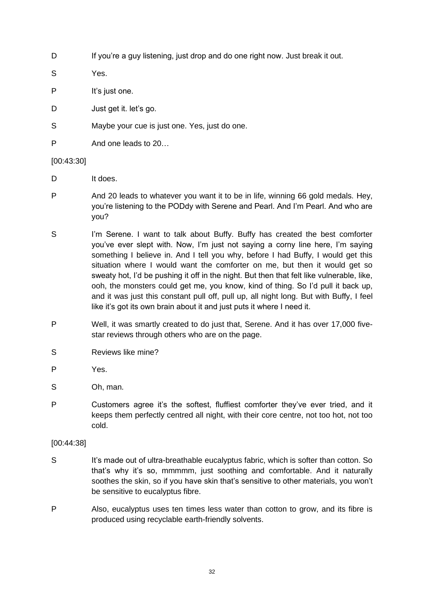D If you're a guy listening, just drop and do one right now. Just break it out.

S Yes.

- P It's just one.
- D Just get it. let's go.
- S Maybe your cue is just one. Yes, just do one.
- P And one leads to 20…

#### [00:43:30]

- D It does.
- P And 20 leads to whatever you want it to be in life, winning 66 gold medals. Hey, you're listening to the PODdy with Serene and Pearl. And I'm Pearl. And who are you?
- S I'm Serene. I want to talk about Buffy. Buffy has created the best comforter you've ever slept with. Now, I'm just not saying a corny line here, I'm saying something I believe in. And I tell you why, before I had Buffy, I would get this situation where I would want the comforter on me, but then it would get so sweaty hot, I'd be pushing it off in the night. But then that felt like vulnerable, like, ooh, the monsters could get me, you know, kind of thing. So I'd pull it back up, and it was just this constant pull off, pull up, all night long. But with Buffy, I feel like it's got its own brain about it and just puts it where I need it.
- P Well, it was smartly created to do just that, Serene. And it has over 17,000 fivestar reviews through others who are on the page.
- S Reviews like mine?
- P Yes.
- S Oh, man.
- P Customers agree it's the softest, fluffiest comforter they've ever tried, and it keeps them perfectly centred all night, with their core centre, not too hot, not too cold.

#### [00:44:38]

- S It's made out of ultra-breathable eucalyptus fabric, which is softer than cotton. So that's why it's so, mmmmm, just soothing and comfortable. And it naturally soothes the skin, so if you have skin that's sensitive to other materials, you won't be sensitive to eucalyptus fibre.
- P Also, eucalyptus uses ten times less water than cotton to grow, and its fibre is produced using recyclable earth-friendly solvents.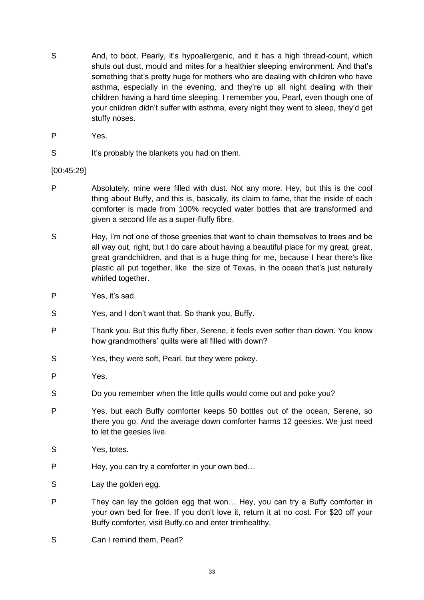- S And, to boot, Pearly, it's hypoallergenic, and it has a high thread-count, which shuts out dust, mould and mites for a healthier sleeping environment. And that's something that's pretty huge for mothers who are dealing with children who have asthma, especially in the evening, and they're up all night dealing with their children having a hard time sleeping. I remember you, Pearl, even though one of your children didn't suffer with asthma, every night they went to sleep, they'd get stuffy noses.
- P Yes.
- S It's probably the blankets you had on them.

#### [00:45:29]

- P Absolutely, mine were filled with dust. Not any more. Hey, but this is the cool thing about Buffy, and this is, basically, its claim to fame, that the inside of each comforter is made from 100% recycled water bottles that are transformed and given a second life as a super-fluffy fibre.
- S Hey, I'm not one of those greenies that want to chain themselves to trees and be all way out, right, but I do care about having a beautiful place for my great, great, great grandchildren, and that is a huge thing for me, because I hear there's like plastic all put together, like the size of Texas, in the ocean that's just naturally whirled together.
- P Yes, it's sad.
- S Yes, and I don't want that. So thank you, Buffy.
- P Thank you. But this fluffy fiber, Serene, it feels even softer than down. You know how grandmothers' quilts were all filled with down?
- S Yes, they were soft, Pearl, but they were pokey.
- P Yes.
- S Do you remember when the little quills would come out and poke you?
- P Yes, but each Buffy comforter keeps 50 bottles out of the ocean, Serene, so there you go. And the average down comforter harms 12 geesies. We just need to let the geesies live.
- S Yes, totes.
- P Hey, you can try a comforter in your own bed…
- S Lay the golden egg.
- P They can lay the golden egg that won... Hey, you can try a Buffy comforter in your own bed for free. If you don't love it, return it at no cost. For \$20 off your Buffy comforter, visit Buffy.co and enter trimhealthy.
- S Can I remind them, Pearl?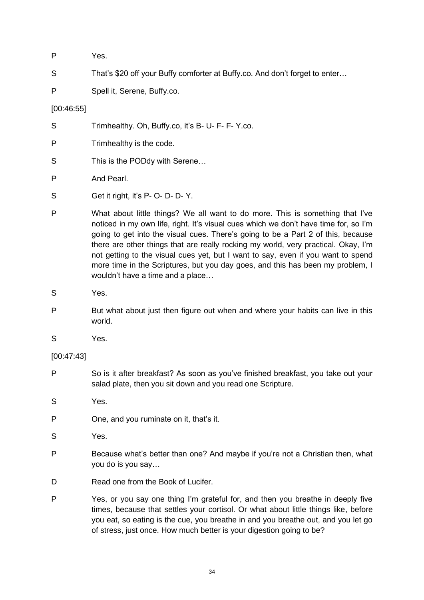| P | Yes. |
|---|------|
|   |      |

- S That's \$20 off your Buffy comforter at Buffy.co. And don't forget to enter...
- P Spell it, Serene, Buffy.co.

## [00:46:55]

- S Trimhealthy. Oh, Buffy.co, it's B- U- F- F- Y.co.
- P Trimhealthy is the code.
- S This is the PODdy with Serene...
- P And Pearl.
- S Get it right, it's P- O- D- D- Y.
- P What about little things? We all want to do more. This is something that I've noticed in my own life, right. It's visual cues which we don't have time for, so I'm going to get into the visual cues. There's going to be a Part 2 of this, because there are other things that are really rocking my world, very practical. Okay, I'm not getting to the visual cues yet, but I want to say, even if you want to spend more time in the Scriptures, but you day goes, and this has been my problem, I wouldn't have a time and a place…
- S Yes.
- P But what about just then figure out when and where your habits can live in this world.
- S Yes.

# [00:47:43]

- P So is it after breakfast? As soon as you've finished breakfast, you take out your salad plate, then you sit down and you read one Scripture.
- S Yes.
- P One, and you ruminate on it, that's it.
- S Yes.
- P Because what's better than one? And maybe if you're not a Christian then, what you do is you say…
- D Read one from the Book of Lucifer.
- P Yes, or you say one thing I'm grateful for, and then you breathe in deeply five times, because that settles your cortisol. Or what about little things like, before you eat, so eating is the cue, you breathe in and you breathe out, and you let go of stress, just once. How much better is your digestion going to be?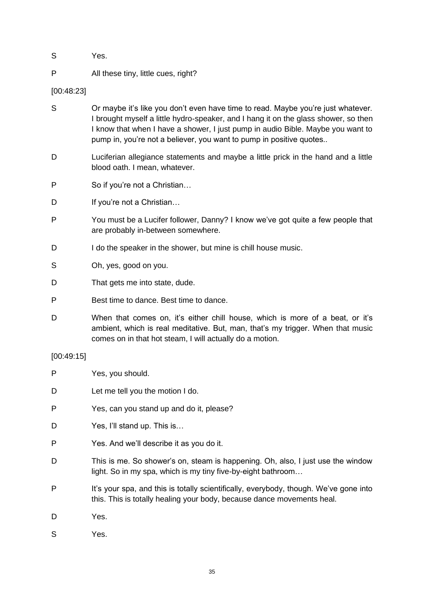- S Yes.
- P All these tiny, little cues, right?

[00:48:23]

- S Or maybe it's like you don't even have time to read. Maybe you're just whatever. I brought myself a little hydro-speaker, and I hang it on the glass shower, so then I know that when I have a shower, I just pump in audio Bible. Maybe you want to pump in, you're not a believer, you want to pump in positive quotes..
- D Luciferian allegiance statements and maybe a little prick in the hand and a little blood oath. I mean, whatever.
- P So if you're not a Christian…
- D If you're not a Christian...
- P You must be a Lucifer follower, Danny? I know we've got quite a few people that are probably in-between somewhere.
- D I do the speaker in the shower, but mine is chill house music.
- S Oh, yes, good on you.
- D That gets me into state, dude.
- P Best time to dance. Best time to dance.
- D When that comes on, it's either chill house, which is more of a beat, or it's ambient, which is real meditative. But, man, that's my trigger. When that music comes on in that hot steam, I will actually do a motion.

#### [00:49:15]

| P | Yes, you should.                                                                                                                                                |
|---|-----------------------------------------------------------------------------------------------------------------------------------------------------------------|
| D | Let me tell you the motion I do.                                                                                                                                |
| P | Yes, can you stand up and do it, please?                                                                                                                        |
| D | Yes, I'll stand up. This is                                                                                                                                     |
| P | Yes. And we'll describe it as you do it.                                                                                                                        |
| D | This is me. So shower's on, steam is happening. Oh, also, I just use the window<br>light. So in my spa, which is my tiny five-by-eight bathroom                 |
| P | It's your spa, and this is totally scientifically, everybody, though. We've gone into<br>this. This is totally healing your body, because dance movements heal. |
| D | Yes.                                                                                                                                                            |
| S | Yes.                                                                                                                                                            |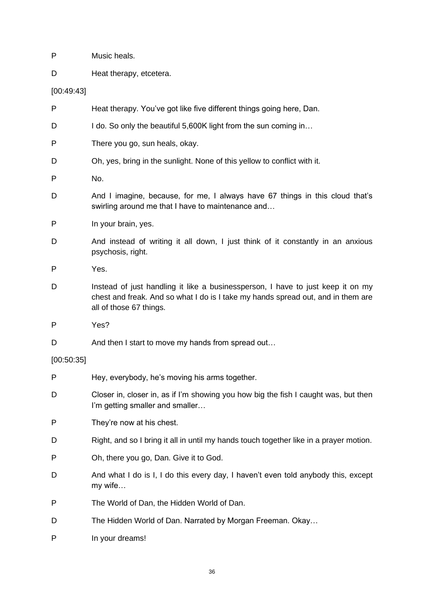- P Music heals.
- D Heat therapy, etcetera.

[00:49:43]

- P Heat therapy. You've got like five different things going here, Dan.
- D I do. So only the beautiful 5,600K light from the sun coming in...
- P There you go, sun heals, okay.
- D Oh, yes, bring in the sunlight. None of this yellow to conflict with it.
- P No.
- D And I imagine, because, for me, I always have 67 things in this cloud that's swirling around me that I have to maintenance and…
- P In your brain, yes.
- D And instead of writing it all down, I just think of it constantly in an anxious psychosis, right.
- P Yes.
- D Instead of just handling it like a businessperson, I have to just keep it on my chest and freak. And so what I do is I take my hands spread out, and in them are all of those 67 things.
- P Yes?
- D And then I start to move my hands from spread out...

#### [00:50:35]

- P Hey, everybody, he's moving his arms together.
- D Closer in, closer in, as if I'm showing you how big the fish I caught was, but then I'm getting smaller and smaller…
- P They're now at his chest.
- D Right, and so I bring it all in until my hands touch together like in a prayer motion.
- P Oh, there you go, Dan. Give it to God.
- D And what I do is I, I do this every day, I haven't even told anybody this, except my wife…
- P The World of Dan, the Hidden World of Dan.
- D The Hidden World of Dan. Narrated by Morgan Freeman. Okay...
- P In your dreams!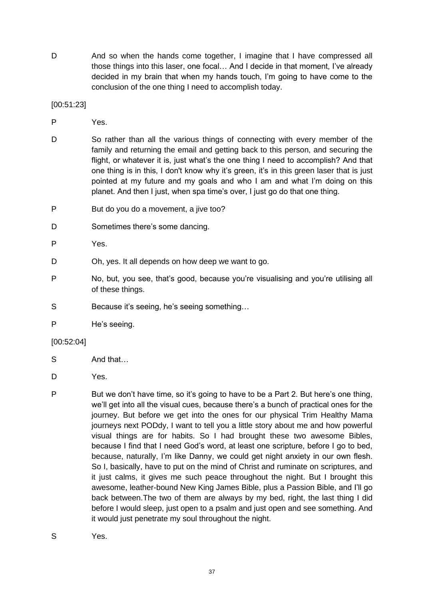D And so when the hands come together, I imagine that I have compressed all those things into this laser, one focal… And I decide in that moment, I've already decided in my brain that when my hands touch, I'm going to have come to the conclusion of the one thing I need to accomplish today.

[00:51:23]

- P Yes.
- D So rather than all the various things of connecting with every member of the family and returning the email and getting back to this person, and securing the flight, or whatever it is, just what's the one thing I need to accomplish? And that one thing is in this, I don't know why it's green, it's in this green laser that is just pointed at my future and my goals and who I am and what I'm doing on this planet. And then I just, when spa time's over, I just go do that one thing.
- P But do you do a movement, a jive too?
- D Sometimes there's some dancing.
- P Yes.
- D Oh, yes. It all depends on how deep we want to go.
- P No, but, you see, that's good, because you're visualising and you're utilising all of these things.
- S Because it's seeing, he's seeing something...
- P He's seeing.

#### [00:52:04]

- S And that…
- D Yes.
- P But we don't have time, so it's going to have to be a Part 2. But here's one thing, we'll get into all the visual cues, because there's a bunch of practical ones for the journey. But before we get into the ones for our physical Trim Healthy Mama journeys next PODdy, I want to tell you a little story about me and how powerful visual things are for habits. So I had brought these two awesome Bibles, because I find that I need God's word, at least one scripture, before I go to bed, because, naturally, I'm like Danny, we could get night anxiety in our own flesh. So I, basically, have to put on the mind of Christ and ruminate on scriptures, and it just calms, it gives me such peace throughout the night. But I brought this awesome, leather-bound New King James Bible, plus a Passion Bible, and I'll go back between.The two of them are always by my bed, right, the last thing I did before I would sleep, just open to a psalm and just open and see something. And it would just penetrate my soul throughout the night.
- S Yes.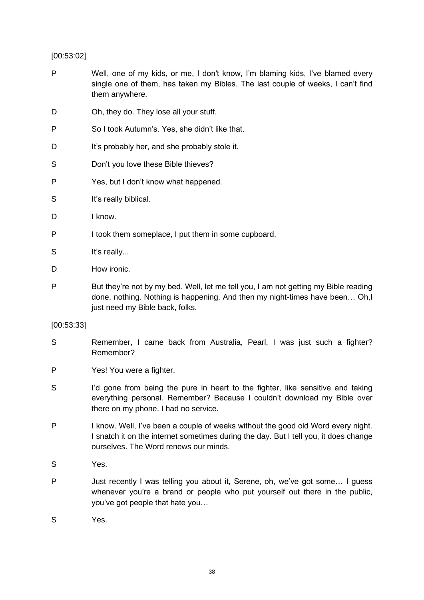# [00:53:02]

- P Well, one of my kids, or me, I don't know, I'm blaming kids, I've blamed every single one of them, has taken my Bibles. The last couple of weeks, I can't find them anywhere.
- D Oh, they do. They lose all your stuff.
- P So I took Autumn's. Yes, she didn't like that.
- D It's probably her, and she probably stole it.
- S Don't you love these Bible thieves?
- P Yes, but I don't know what happened.
- S It's really biblical.
- D I know.
- P I took them someplace, I put them in some cupboard.
- S It's really...
- D How ironic.
- P But they're not by my bed. Well, let me tell you, I am not getting my Bible reading done, nothing. Nothing is happening. And then my night-times have been… Oh,I just need my Bible back, folks.

#### [00:53:33]

- S Remember, I came back from Australia, Pearl, I was just such a fighter? Remember?
- P Yes! You were a fighter.
- S I'd gone from being the pure in heart to the fighter, like sensitive and taking everything personal. Remember? Because I couldn't download my Bible over there on my phone. I had no service.
- P I know. Well, I've been a couple of weeks without the good old Word every night. I snatch it on the internet sometimes during the day. But I tell you, it does change ourselves. The Word renews our minds.
- S Yes.
- P Just recently I was telling you about it, Serene, oh, we've got some… I guess whenever you're a brand or people who put yourself out there in the public, you've got people that hate you…
- S Yes.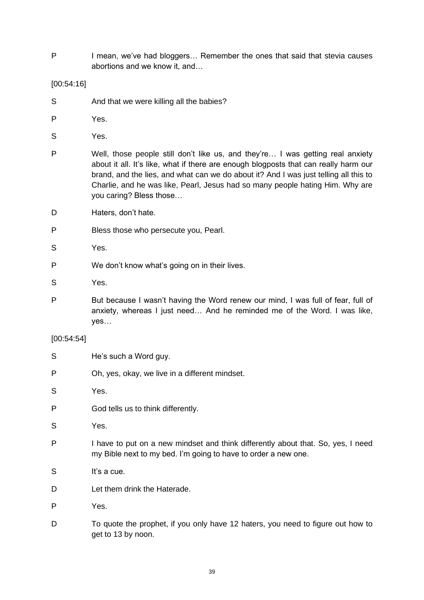P I mean, we've had bloggers... Remember the ones that said that stevia causes abortions and we know it, and…

[00:54:16]

- S And that we were killing all the babies?
- P Yes.
- S Yes.
- P Well, those people still don't like us, and they're… I was getting real anxiety about it all. It's like, what if there are enough blogposts that can really harm our brand, and the lies, and what can we do about it? And I was just telling all this to Charlie, and he was like, Pearl, Jesus had so many people hating Him. Why are you caring? Bless those…
- D Haters, don't hate.
- P Bless those who persecute you, Pearl.
- S Yes.
- P We don't know what's going on in their lives.
- S Yes.
- P But because I wasn't having the Word renew our mind, I was full of fear, full of anxiety, whereas I just need… And he reminded me of the Word. I was like, yes…

#### [00:54:54]

- S He's such a Word guy.
- P Oh, yes, okay, we live in a different mindset.
- S Yes.
- P God tells us to think differently.
- S Yes.
- P I have to put on a new mindset and think differently about that. So, yes, I need my Bible next to my bed. I'm going to have to order a new one.
- S It's a cue.
- D **Let them drink the Haterade**
- P Yes.
- D To quote the prophet, if you only have 12 haters, you need to figure out how to get to 13 by noon.